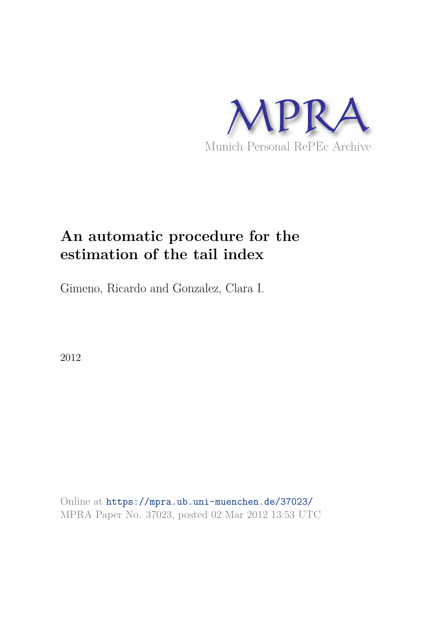

# **An automatic procedure for the estimation of the tail index**

Gimeno, Ricardo and Gonzalez, Clara I.

2012

Online at https://mpra.ub.uni-muenchen.de/37023/ MPRA Paper No. 37023, posted 02 Mar 2012 13:53 UTC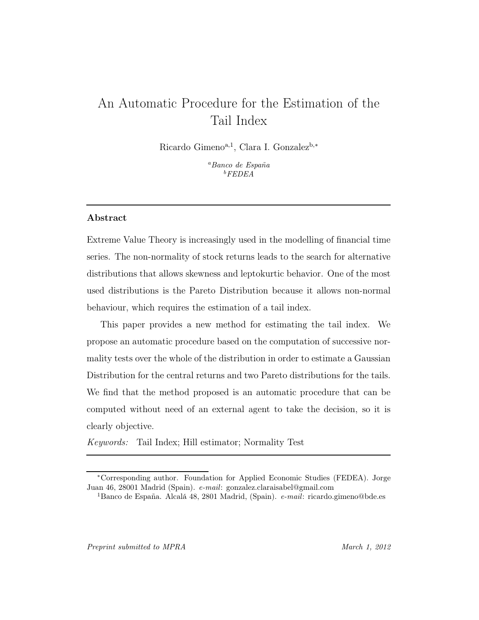## An Automatic Procedure for the Estimation of the Tail Index

Ricardo Gimeno<sup>a,1</sup>, Clara I. Gonzalez<sup>b,\*</sup>

<sup>a</sup>Banco de España  $^{b}$ FEDEA

### Abstract

Extreme Value Theory is increasingly used in the modelling of financial time series. The non-normality of stock returns leads to the search for alternative distributions that allows skewness and leptokurtic behavior. One of the most used distributions is the Pareto Distribution because it allows non-normal behaviour, which requires the estimation of a tail index.

This paper provides a new method for estimating the tail index. We propose an automatic procedure based on the computation of successive normality tests over the whole of the distribution in order to estimate a Gaussian Distribution for the central returns and two Pareto distributions for the tails. We find that the method proposed is an automatic procedure that can be computed without need of an external agent to take the decision, so it is clearly objective.

Keywords: Tail Index; Hill estimator; Normality Test

<sup>∗</sup>Corresponding author. Foundation for Applied Economic Studies (FEDEA). Jorge Juan 46, 28001 Madrid (Spain). e-mail: gonzalez.claraisabel@gmail.com

<sup>&</sup>lt;sup>1</sup>Banco de España. Alcalá 48, 2801 Madrid, (Spain).  $e$ -mail: ricardo.gimeno@bde.es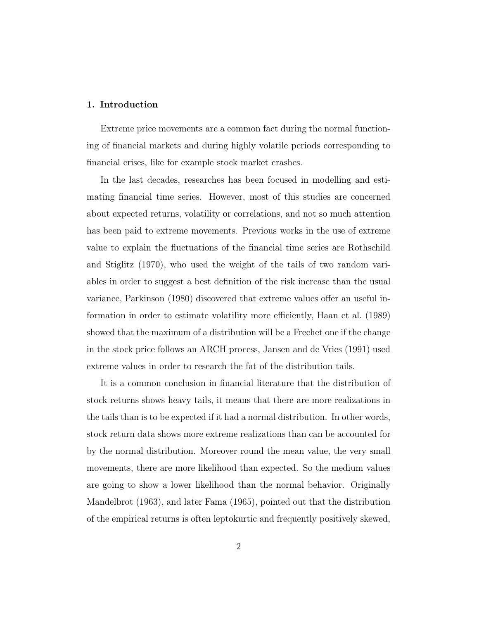#### 1. Introduction

Extreme price movements are a common fact during the normal functioning of financial markets and during highly volatile periods corresponding to financial crises, like for example stock market crashes.

In the last decades, researches has been focused in modelling and estimating financial time series. However, most of this studies are concerned about expected returns, volatility or correlations, and not so much attention has been paid to extreme movements. Previous works in the use of extreme value to explain the fluctuations of the financial time series are Rothschild and Stiglitz (1970), who used the weight of the tails of two random variables in order to suggest a best definition of the risk increase than the usual variance, Parkinson (1980) discovered that extreme values offer an useful information in order to estimate volatility more efficiently, Haan et al. (1989) showed that the maximum of a distribution will be a Frechet one if the change in the stock price follows an ARCH process, Jansen and de Vries (1991) used extreme values in order to research the fat of the distribution tails.

It is a common conclusion in financial literature that the distribution of stock returns shows heavy tails, it means that there are more realizations in the tails than is to be expected if it had a normal distribution. In other words, stock return data shows more extreme realizations than can be accounted for by the normal distribution. Moreover round the mean value, the very small movements, there are more likelihood than expected. So the medium values are going to show a lower likelihood than the normal behavior. Originally Mandelbrot (1963), and later Fama (1965), pointed out that the distribution of the empirical returns is often leptokurtic and frequently positively skewed,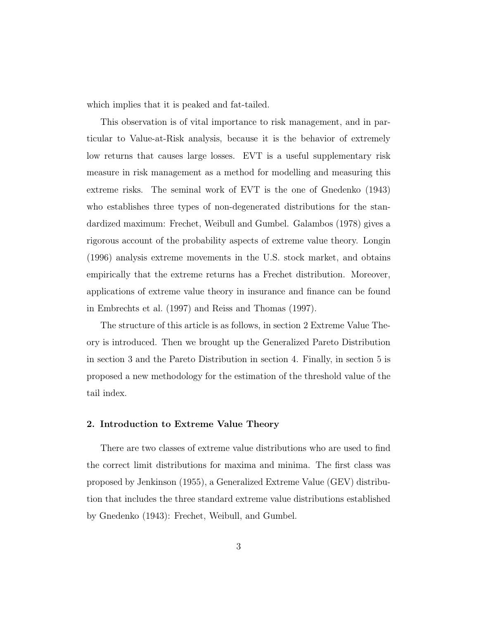which implies that it is peaked and fat-tailed.

This observation is of vital importance to risk management, and in particular to Value-at-Risk analysis, because it is the behavior of extremely low returns that causes large losses. EVT is a useful supplementary risk measure in risk management as a method for modelling and measuring this extreme risks. The seminal work of EVT is the one of Gnedenko (1943) who establishes three types of non-degenerated distributions for the standardized maximum: Frechet, Weibull and Gumbel. Galambos (1978) gives a rigorous account of the probability aspects of extreme value theory. Longin (1996) analysis extreme movements in the U.S. stock market, and obtains empirically that the extreme returns has a Frechet distribution. Moreover, applications of extreme value theory in insurance and finance can be found in Embrechts et al. (1997) and Reiss and Thomas (1997).

The structure of this article is as follows, in section 2 Extreme Value Theory is introduced. Then we brought up the Generalized Pareto Distribution in section 3 and the Pareto Distribution in section 4. Finally, in section 5 is proposed a new methodology for the estimation of the threshold value of the tail index.

#### 2. Introduction to Extreme Value Theory

There are two classes of extreme value distributions who are used to find the correct limit distributions for maxima and minima. The first class was proposed by Jenkinson (1955), a Generalized Extreme Value (GEV) distribution that includes the three standard extreme value distributions established by Gnedenko (1943): Frechet, Weibull, and Gumbel.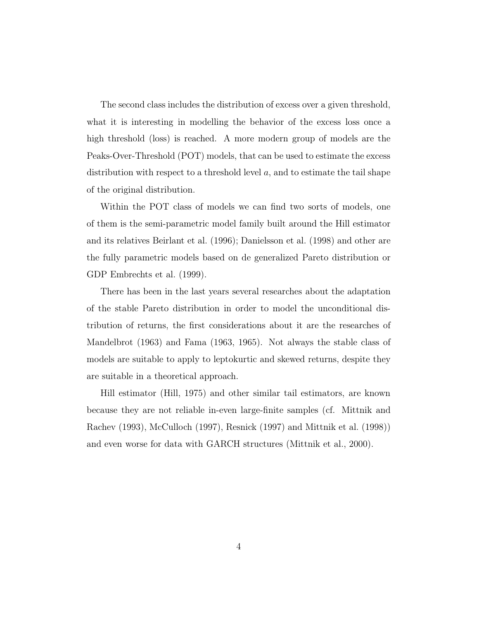The second class includes the distribution of excess over a given threshold, what it is interesting in modelling the behavior of the excess loss once a high threshold (loss) is reached. A more modern group of models are the Peaks-Over-Threshold (POT) models, that can be used to estimate the excess distribution with respect to a threshold level  $a$ , and to estimate the tail shape of the original distribution.

Within the POT class of models we can find two sorts of models, one of them is the semi-parametric model family built around the Hill estimator and its relatives Beirlant et al. (1996); Danielsson et al. (1998) and other are the fully parametric models based on de generalized Pareto distribution or GDP Embrechts et al. (1999).

There has been in the last years several researches about the adaptation of the stable Pareto distribution in order to model the unconditional distribution of returns, the first considerations about it are the researches of Mandelbrot (1963) and Fama (1963, 1965). Not always the stable class of models are suitable to apply to leptokurtic and skewed returns, despite they are suitable in a theoretical approach.

Hill estimator (Hill, 1975) and other similar tail estimators, are known because they are not reliable in-even large-finite samples (cf. Mittnik and Rachev (1993), McCulloch (1997), Resnick (1997) and Mittnik et al. (1998)) and even worse for data with GARCH structures (Mittnik et al., 2000).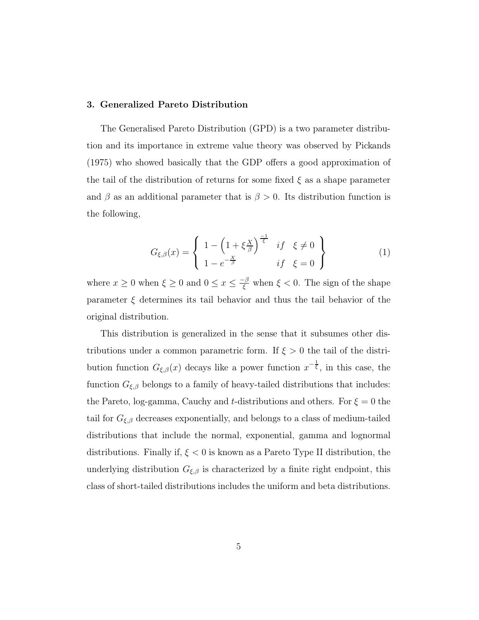#### 3. Generalized Pareto Distribution

The Generalised Pareto Distribution (GPD) is a two parameter distribution and its importance in extreme value theory was observed by Pickands (1975) who showed basically that the GDP offers a good approximation of the tail of the distribution of returns for some fixed  $\xi$  as a shape parameter and  $\beta$  as an additional parameter that is  $\beta > 0$ . Its distribution function is the following,

$$
G_{\xi,\beta}(x) = \begin{cases} 1 - \left(1 + \xi \frac{x}{\beta}\right)^{\frac{-1}{\xi}} & \text{if } \xi \neq 0 \\ 1 - e^{-\frac{x}{\beta}} & \text{if } \xi = 0 \end{cases}
$$
 (1)

where  $x \geq 0$  when  $\xi \geq 0$  and  $0 \leq x \leq \frac{-\beta}{\xi}$  when  $\xi < 0$ . The sign of the shape parameter  $\xi$  determines its tail behavior and thus the tail behavior of the original distribution.

This distribution is generalized in the sense that it subsumes other distributions under a common parametric form. If  $\xi > 0$  the tail of the distribution function  $G_{\xi,\beta}(x)$  decays like a power function  $x^{-\frac{1}{\xi}}$ , in this case, the function  $G_{\xi,\beta}$  belongs to a family of heavy-tailed distributions that includes: the Pareto, log-gamma, Cauchy and t-distributions and others. For  $\xi = 0$  the tail for  $G_{\xi,\beta}$  decreases exponentially, and belongs to a class of medium-tailed distributions that include the normal, exponential, gamma and lognormal distributions. Finally if,  $\xi < 0$  is known as a Pareto Type II distribution, the underlying distribution  $G_{\xi,\beta}$  is characterized by a finite right endpoint, this class of short-tailed distributions includes the uniform and beta distributions.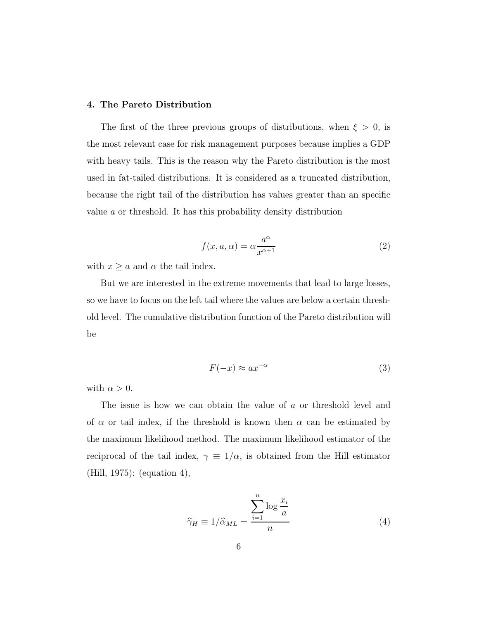#### 4. The Pareto Distribution

The first of the three previous groups of distributions, when  $\xi > 0$ , is the most relevant case for risk management purposes because implies a GDP with heavy tails. This is the reason why the Pareto distribution is the most used in fat-tailed distributions. It is considered as a truncated distribution, because the right tail of the distribution has values greater than an specific value a or threshold. It has this probability density distribution

$$
f(x, a, \alpha) = \alpha \frac{a^{\alpha}}{x^{\alpha+1}}
$$
 (2)

with  $x \ge a$  and  $\alpha$  the tail index.

But we are interested in the extreme movements that lead to large losses, so we have to focus on the left tail where the values are below a certain threshold level. The cumulative distribution function of the Pareto distribution will be

$$
F(-x) \approx a x^{-\alpha} \tag{3}
$$

with  $\alpha > 0$ .

The issue is how we can obtain the value of a or threshold level and of  $\alpha$  or tail index, if the threshold is known then  $\alpha$  can be estimated by the maximum likelihood method. The maximum likelihood estimator of the reciprocal of the tail index,  $\gamma \equiv 1/\alpha$ , is obtained from the Hill estimator (Hill, 1975): (equation 4),

$$
\widehat{\gamma}_H \equiv 1/\widehat{\alpha}_{ML} = \frac{\sum_{i=1}^n \log \frac{x_i}{a}}{n} \tag{4}
$$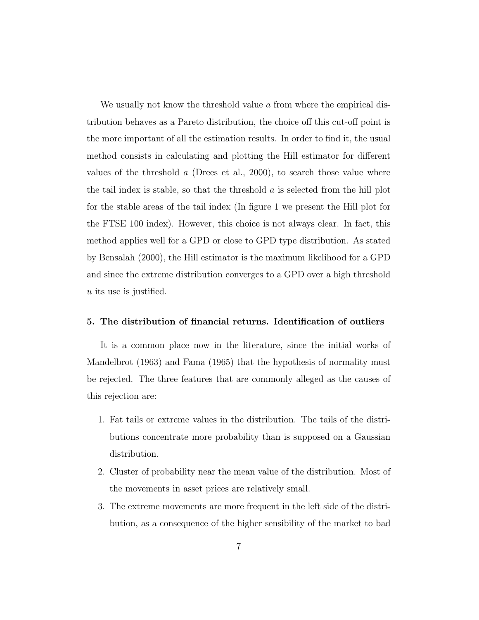We usually not know the threshold value  $\alpha$  from where the empirical distribution behaves as a Pareto distribution, the choice off this cut-off point is the more important of all the estimation results. In order to find it, the usual method consists in calculating and plotting the Hill estimator for different values of the threshold  $a$  (Drees et al., 2000), to search those value where the tail index is stable, so that the threshold  $\alpha$  is selected from the hill plot for the stable areas of the tail index (In figure 1 we present the Hill plot for the FTSE 100 index). However, this choice is not always clear. In fact, this method applies well for a GPD or close to GPD type distribution. As stated by Bensalah (2000), the Hill estimator is the maximum likelihood for a GPD and since the extreme distribution converges to a GPD over a high threshold u its use is justified.

#### 5. The distribution of financial returns. Identification of outliers

It is a common place now in the literature, since the initial works of Mandelbrot (1963) and Fama (1965) that the hypothesis of normality must be rejected. The three features that are commonly alleged as the causes of this rejection are:

- 1. Fat tails or extreme values in the distribution. The tails of the distributions concentrate more probability than is supposed on a Gaussian distribution.
- 2. Cluster of probability near the mean value of the distribution. Most of the movements in asset prices are relatively small.
- 3. The extreme movements are more frequent in the left side of the distribution, as a consequence of the higher sensibility of the market to bad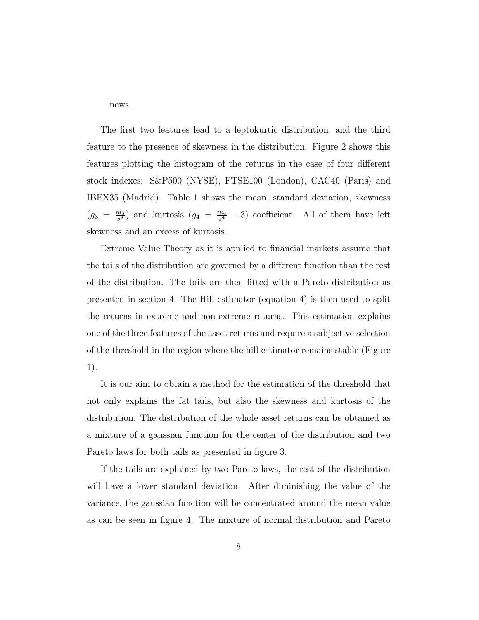news.

The first two features lead to a leptokurtic distribution, and the third feature to the presence of skewness in the distribution. Figure 2 shows this features plotting the histogram of the returns in the case of four different stock indexes: S&P500 (NYSE), FTSE100 (London), CAC40 (Paris) and IBEX35 (Madrid). Table 1 shows the mean, standard deviation, skewness  $(g_3 = \frac{m_3}{s^3})$  $\frac{m_3}{s^3}$ ) and kurtosis  $(g_4 = \frac{m_4}{s^4})$  $\frac{m_4}{s^4} - 3$  coefficient. All of them have left skewness and an excess of kurtosis.

Extreme Value Theory as it is applied to financial markets assume that the tails of the distribution are governed by a different function than the rest of the distribution. The tails are then fitted with a Pareto distribution as presented in section 4. The Hill estimator (equation 4) is then used to split the returns in extreme and non-extreme returns. This estimation explains one of the three features of the asset returns and require a subjective selection of the threshold in the region where the hill estimator remains stable (Figure 1).

It is our aim to obtain a method for the estimation of the threshold that not only explains the fat tails, but also the skewness and kurtosis of the distribution. The distribution of the whole asset returns can be obtained as a mixture of a gaussian function for the center of the distribution and two Pareto laws for both tails as presented in figure 3.

If the tails are explained by two Pareto laws, the rest of the distribution will have a lower standard deviation. After diminishing the value of the variance, the gaussian function will be concentrated around the mean value as can be seen in figure 4. The mixture of normal distribution and Pareto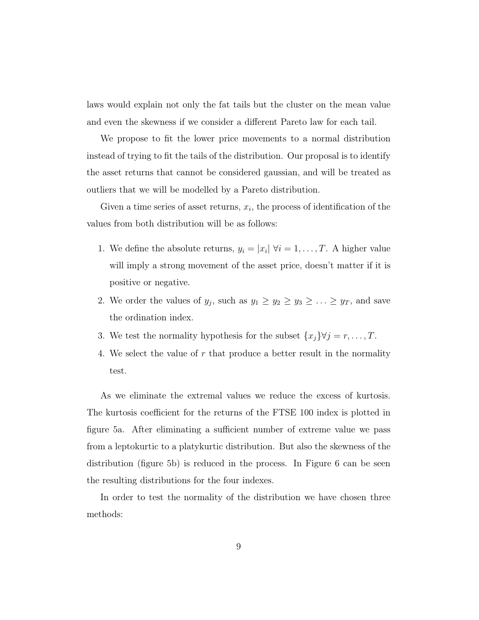laws would explain not only the fat tails but the cluster on the mean value and even the skewness if we consider a different Pareto law for each tail.

We propose to fit the lower price movements to a normal distribution instead of trying to fit the tails of the distribution. Our proposal is to identify the asset returns that cannot be considered gaussian, and will be treated as outliers that we will be modelled by a Pareto distribution.

Given a time series of asset returns,  $x_i$ , the process of identification of the values from both distribution will be as follows:

- 1. We define the absolute returns,  $y_i = |x_i| \forall i = 1, \ldots, T$ . A higher value will imply a strong movement of the asset price, doesn't matter if it is positive or negative.
- 2. We order the values of  $y_j$ , such as  $y_1 \ge y_2 \ge y_3 \ge \ldots \ge y_T$ , and save the ordination index.
- 3. We test the normality hypothesis for the subset  $\{x_j\}\forall j = r, \ldots, T$ .
- 4. We select the value of r that produce a better result in the normality test.

As we eliminate the extremal values we reduce the excess of kurtosis. The kurtosis coefficient for the returns of the FTSE 100 index is plotted in figure 5a. After eliminating a sufficient number of extreme value we pass from a leptokurtic to a platykurtic distribution. But also the skewness of the distribution (figure 5b) is reduced in the process. In Figure 6 can be seen the resulting distributions for the four indexes.

In order to test the normality of the distribution we have chosen three methods: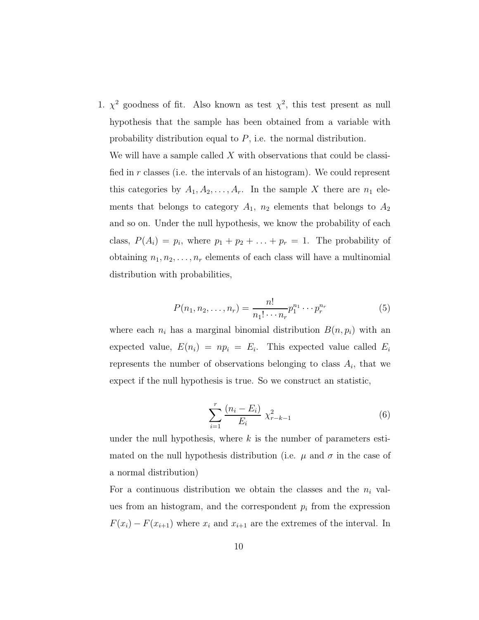1.  $\chi^2$  goodness of fit. Also known as test  $\chi^2$ , this test present as null hypothesis that the sample has been obtained from a variable with probability distribution equal to P, i.e. the normal distribution.

We will have a sample called  $X$  with observations that could be classified in r classes (i.e. the intervals of an histogram). We could represent this categories by  $A_1, A_2, \ldots, A_r$ . In the sample X there are  $n_1$  elements that belongs to category  $A_1$ ,  $n_2$  elements that belongs to  $A_2$ and so on. Under the null hypothesis, we know the probability of each class,  $P(A_i) = p_i$ , where  $p_1 + p_2 + \ldots + p_r = 1$ . The probability of obtaining  $n_1, n_2, \ldots, n_r$  elements of each class will have a multinomial distribution with probabilities,

$$
P(n_1, n_2, \dots, n_r) = \frac{n!}{n_1! \cdots n_r} p_1^{n_1} \cdots p_r^{n_r}
$$
 (5)

where each  $n_i$  has a marginal binomial distribution  $B(n, p_i)$  with an expected value,  $E(n_i) = np_i = E_i$ . This expected value called  $E_i$ represents the number of observations belonging to class  $A_i$ , that we expect if the null hypothesis is true. So we construct an statistic,

$$
\sum_{i=1}^{r} \frac{(n_i - E_i)}{E_i} \chi_{r-k-1}^2
$$
 (6)

under the null hypothesis, where  $k$  is the number of parameters estimated on the null hypothesis distribution (i.e.  $\mu$  and  $\sigma$  in the case of a normal distribution)

For a continuous distribution we obtain the classes and the  $n_i$  values from an histogram, and the correspondent  $p_i$  from the expression  $F(x_i) - F(x_{i+1})$  where  $x_i$  and  $x_{i+1}$  are the extremes of the interval. In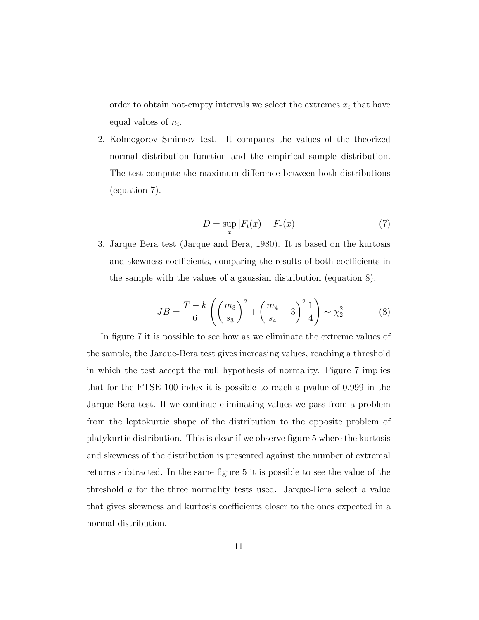order to obtain not-empty intervals we select the extremes  $x_i$  that have equal values of  $n_i$ .

2. Kolmogorov Smirnov test. It compares the values of the theorized normal distribution function and the empirical sample distribution. The test compute the maximum difference between both distributions (equation 7).

$$
D = \sup_{x} |F_t(x) - F_r(x)| \tag{7}
$$

3. Jarque Bera test (Jarque and Bera, 1980). It is based on the kurtosis and skewness coefficients, comparing the results of both coefficients in the sample with the values of a gaussian distribution (equation 8).

$$
JB = \frac{T - k}{6} \left( \left( \frac{m_3}{s_3} \right)^2 + \left( \frac{m_4}{s_4} - 3 \right)^2 \frac{1}{4} \right) \sim \chi_2^2 \tag{8}
$$

In figure 7 it is possible to see how as we eliminate the extreme values of the sample, the Jarque-Bera test gives increasing values, reaching a threshold in which the test accept the null hypothesis of normality. Figure 7 implies that for the FTSE 100 index it is possible to reach a pvalue of 0.999 in the Jarque-Bera test. If we continue eliminating values we pass from a problem from the leptokurtic shape of the distribution to the opposite problem of platykurtic distribution. This is clear if we observe figure 5 where the kurtosis and skewness of the distribution is presented against the number of extremal returns subtracted. In the same figure 5 it is possible to see the value of the threshold a for the three normality tests used. Jarque-Bera select a value that gives skewness and kurtosis coefficients closer to the ones expected in a normal distribution.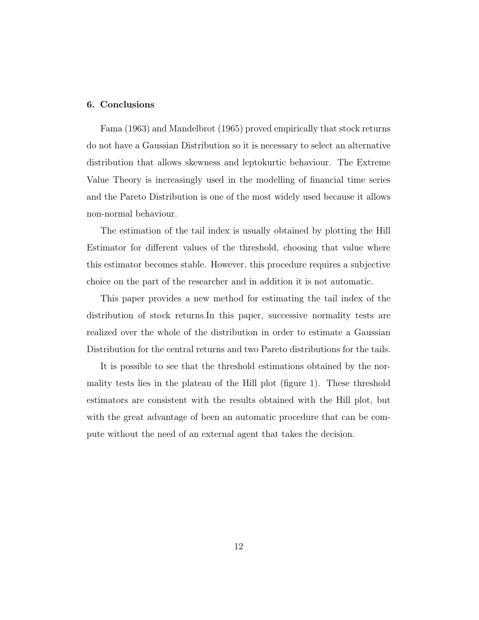#### 6. Conclusions

Fama (1963) and Mandelbrot (1965) proved empirically that stock returns do not have a Gaussian Distribution so it is necessary to select an alternative distribution that allows skewness and leptokurtic behaviour. The Extreme Value Theory is increasingly used in the modelling of financial time series and the Pareto Distribution is one of the most widely used because it allows non-normal behaviour.

The estimation of the tail index is usually obtained by plotting the Hill Estimator for different values of the threshold, choosing that value where this estimator becomes stable. However, this procedure requires a subjective choice on the part of the researcher and in addition it is not automatic.

This paper provides a new method for estimating the tail index of the distribution of stock returns.In this paper, successive normality tests are realized over the whole of the distribution in order to estimate a Gaussian Distribution for the central returns and two Pareto distributions for the tails.

It is possible to see that the threshold estimations obtained by the normality tests lies in the plateau of the Hill plot (figure 1). These threshold estimators are consistent with the results obtained with the Hill plot, but with the great advantage of been an automatic procedure that can be compute without the need of an external agent that takes the decision.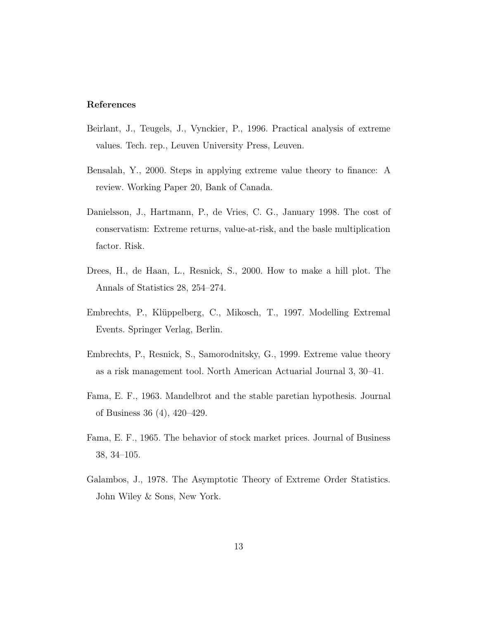#### References

- Beirlant, J., Teugels, J., Vynckier, P., 1996. Practical analysis of extreme values. Tech. rep., Leuven University Press, Leuven.
- Bensalah, Y., 2000. Steps in applying extreme value theory to finance: A review. Working Paper 20, Bank of Canada.
- Danielsson, J., Hartmann, P., de Vries, C. G., January 1998. The cost of conservatism: Extreme returns, value-at-risk, and the basle multiplication factor. Risk.
- Drees, H., de Haan, L., Resnick, S., 2000. How to make a hill plot. The Annals of Statistics 28, 254–274.
- Embrechts, P., Klüppelberg, C., Mikosch, T., 1997. Modelling Extremal Events. Springer Verlag, Berlin.
- Embrechts, P., Resnick, S., Samorodnitsky, G., 1999. Extreme value theory as a risk management tool. North American Actuarial Journal 3, 30–41.
- Fama, E. F., 1963. Mandelbrot and the stable paretian hypothesis. Journal of Business 36 (4), 420–429.
- Fama, E. F., 1965. The behavior of stock market prices. Journal of Business 38, 34–105.
- Galambos, J., 1978. The Asymptotic Theory of Extreme Order Statistics. John Wiley & Sons, New York.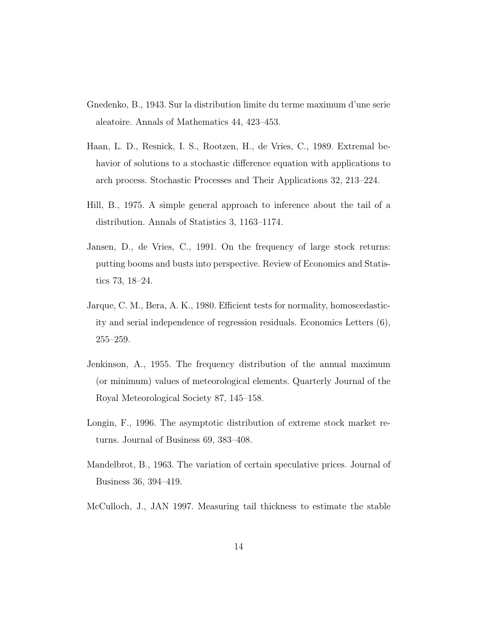- Gnedenko, B., 1943. Sur la distribution limite du terme maximum d'une serie aleatoire. Annals of Mathematics 44, 423–453.
- Haan, L. D., Resnick, I. S., Rootzen, H., de Vries, C., 1989. Extremal behavior of solutions to a stochastic difference equation with applications to arch process. Stochastic Processes and Their Applications 32, 213–224.
- Hill, B., 1975. A simple general approach to inference about the tail of a distribution. Annals of Statistics 3, 1163–1174.
- Jansen, D., de Vries, C., 1991. On the frequency of large stock returns: putting booms and busts into perspective. Review of Economics and Statistics 73, 18–24.
- Jarque, C. M., Bera, A. K., 1980. Efficient tests for normality, homoscedasticity and serial independence of regression residuals. Economics Letters (6), 255–259.
- Jenkinson, A., 1955. The frequency distribution of the annual maximum (or minimum) values of meteorological elements. Quarterly Journal of the Royal Meteorological Society 87, 145–158.
- Longin, F., 1996. The asymptotic distribution of extreme stock market returns. Journal of Business 69, 383–408.
- Mandelbrot, B., 1963. The variation of certain speculative prices. Journal of Business 36, 394–419.
- McCulloch, J., JAN 1997. Measuring tail thickness to estimate the stable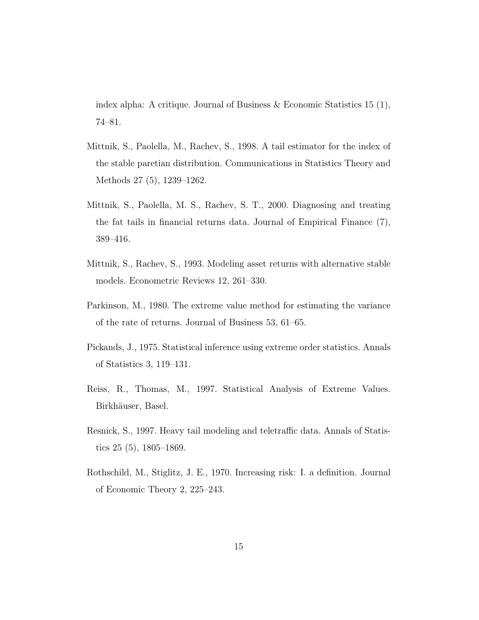index alpha: A critique. Journal of Business & Economic Statistics 15 (1), 74–81.

- Mittnik, S., Paolella, M., Rachev, S., 1998. A tail estimator for the index of the stable paretian distribution. Communications in Statistics Theory and Methods 27 (5), 1239–1262.
- Mittnik, S., Paolella, M. S., Rachev, S. T., 2000. Diagnosing and treating the fat tails in financial returns data. Journal of Empirical Finance (7), 389–416.
- Mittnik, S., Rachev, S., 1993. Modeling asset returns with alternative stable models. Econometric Reviews 12, 261–330.
- Parkinson, M., 1980. The extreme value method for estimating the variance of the rate of returns. Journal of Business 53, 61–65.
- Pickands, J., 1975. Statistical inference using extreme order statistics. Annals of Statistics 3, 119–131.
- Reiss, R., Thomas, M., 1997. Statistical Analysis of Extreme Values. Birkhäuser, Basel.
- Resnick, S., 1997. Heavy tail modeling and teletraffic data. Annals of Statistics 25 (5), 1805–1869.
- Rothschild, M., Stiglitz, J. E., 1970. Increasing risk: I. a definition. Journal of Economic Theory 2, 225–243.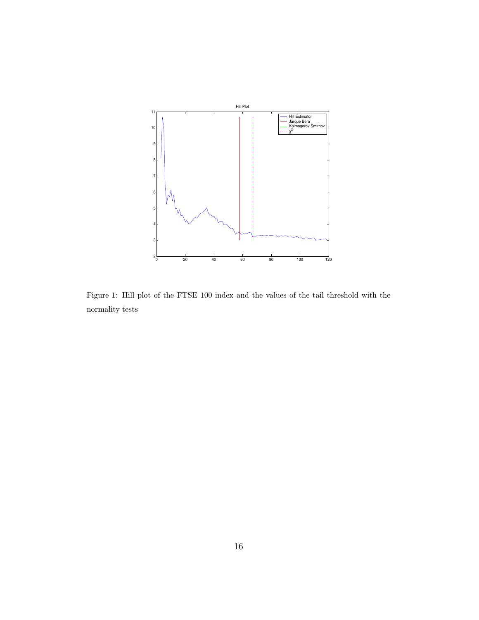

Figure 1: Hill plot of the FTSE 100 index and the values of the tail threshold with the normality tests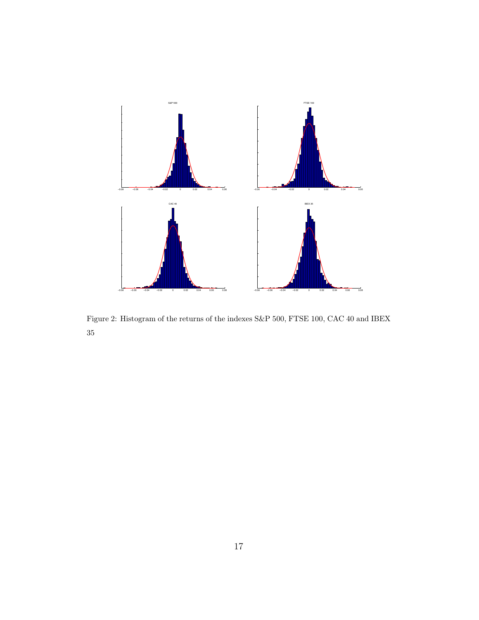

Figure 2: Histogram of the returns of the indexes S&P 500, FTSE 100, CAC 40 and IBEX 35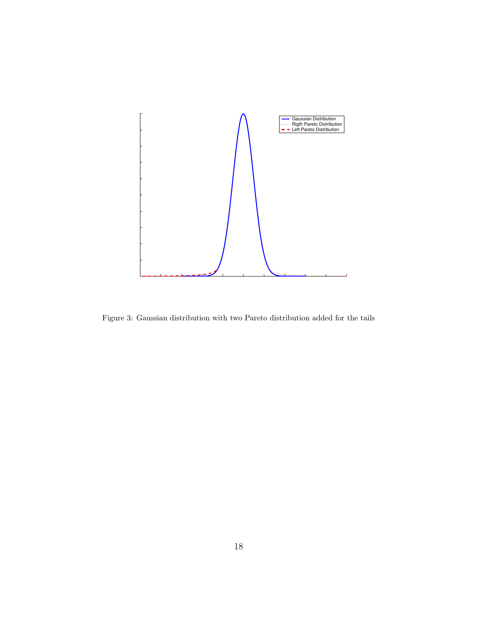

Figure 3: Gaussian distribution with two Pareto distribution added for the tails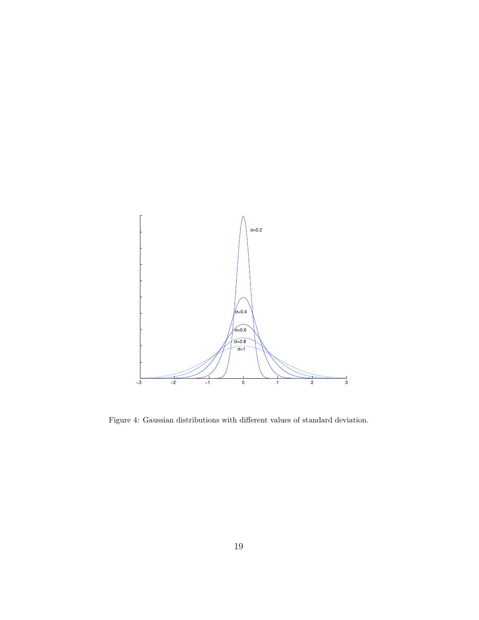

Figure 4: Gaussian distributions with different values of standard deviation.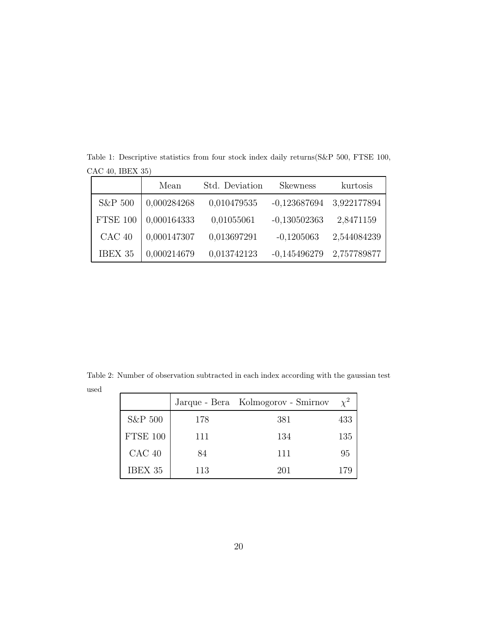|                 | Mean        | Std. Deviation | <b>Skewness</b> | kurtosis    |
|-----------------|-------------|----------------|-----------------|-------------|
| S&P 500         | 0,000284268 | 0,010479535    | $-0,123687694$  | 3,922177894 |
| <b>FTSE 100</b> | 0,000164333 | 0,01055061     | $-0,130502363$  | 2,8471159   |
| $CAC$ 40        | 0,000147307 | 0,013697291    | $-0,1205063$    | 2,544084239 |
| IBEX 35         | 0,000214679 | 0,013742123    | $-0,145496279$  | 2,757789877 |

Table 1: Descriptive statistics from four stock index daily returns(S&P 500, FTSE 100, CAC 40, IBEX 35)

Table 2: Number of observation subtracted in each index according with the gaussian test used

|          |     | Jarque - Bera Kolmogorov - Smirnov | $\chi^2$ |
|----------|-----|------------------------------------|----------|
| S&P 500  | 178 | 381                                | 433      |
| FTSE 100 | 111 | 134                                | 135      |
| $CAC$ 40 | 84  | 111                                | 95       |
| IBEX 35  | 113 | 201                                | 179      |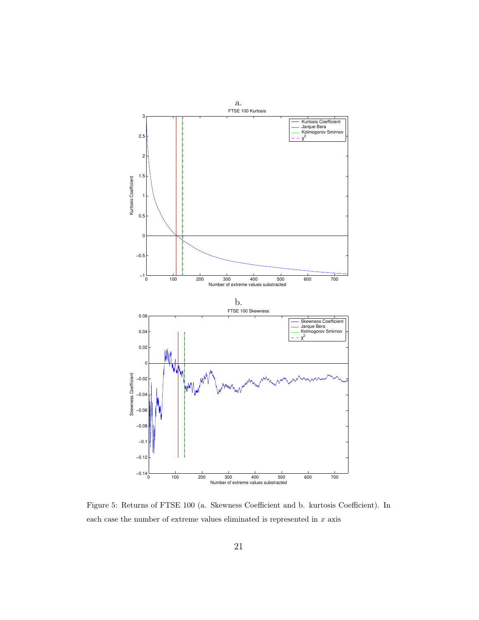

Figure 5: Returns of FTSE 100 (a. Skewness Coefficient and b. kurtosis Coefficient). In each case the number of extreme values eliminated is represented in  $x$  axis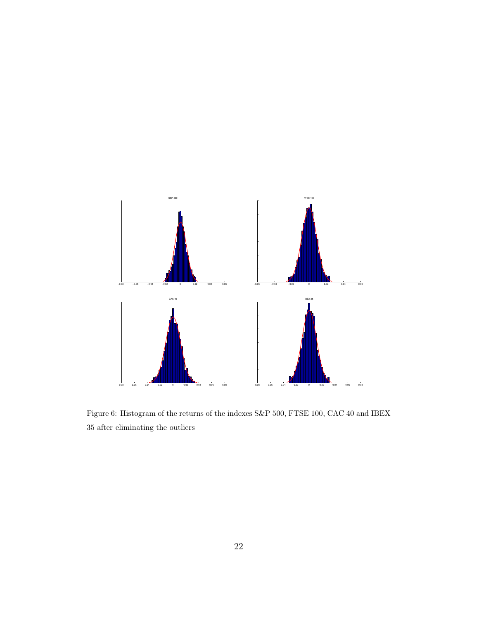

Figure 6: Histogram of the returns of the indexes S&P 500, FTSE 100, CAC 40 and IBEX 35 after eliminating the outliers